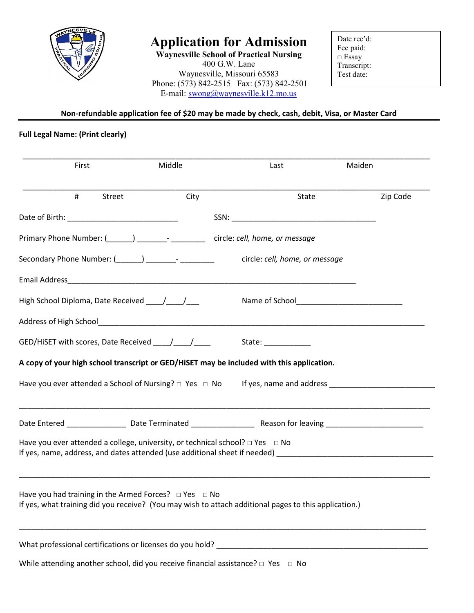

# **Application for Admission**

**Waynesville School of Practical Nursing** 400 G.W. Lane Waynesville, Missouri 65583 Phone: (573) 842-2515 Fax: (573) 842-2501 E-mail: [swong@waynesville.k12.mo.us](mailto:swong@waynesville.k12.mo.us)

Date rec'd: Fee paid: □ Essay Transcript: Test date:

**Non-refundable application fee of \$20 may be made by check, cash, debit, Visa, or Master Card**

## **Full Legal Name: (Print clearly)**

| First |        | Middle                                                           | Last                                                                                                                                                                                                                                 | Maiden |          |
|-------|--------|------------------------------------------------------------------|--------------------------------------------------------------------------------------------------------------------------------------------------------------------------------------------------------------------------------------|--------|----------|
| #     | Street | City                                                             | State                                                                                                                                                                                                                                |        | Zip Code |
|       |        |                                                                  |                                                                                                                                                                                                                                      |        |          |
|       |        |                                                                  |                                                                                                                                                                                                                                      |        |          |
|       |        | Secondary Phone Number: (______) __________- ___________         | circle: cell, home, or message                                                                                                                                                                                                       |        |          |
|       |        |                                                                  |                                                                                                                                                                                                                                      |        |          |
|       |        |                                                                  |                                                                                                                                                                                                                                      |        |          |
|       |        |                                                                  |                                                                                                                                                                                                                                      |        |          |
|       |        |                                                                  | State: <u>www.community.com</u>                                                                                                                                                                                                      |        |          |
|       |        |                                                                  | A copy of your high school transcript or GED/HiSET may be included with this application.                                                                                                                                            |        |          |
|       |        | Have you ever attended a School of Nursing? $\Box$ Yes $\Box$ No | If yes, name and address <b>that the same of the same of the same of the same of the same of the same of the same of the same of the same of the same of the same of the same of the same of the same of the same of the same of</b> |        |          |
|       |        |                                                                  |                                                                                                                                                                                                                                      |        |          |
|       |        |                                                                  | Have you ever attended a college, university, or technical school? $\Box$ Yes $\Box$ No                                                                                                                                              |        |          |
|       |        | Have you had training in the Armed Forces? $\Box$ Yes $\Box$ No  | If yes, what training did you receive? (You may wish to attach additional pages to this application.)                                                                                                                                |        |          |
|       |        |                                                                  |                                                                                                                                                                                                                                      |        |          |
|       |        |                                                                  | While attending another school, did you receive financial assistance? $\Box$ Yes $\Box$ No                                                                                                                                           |        |          |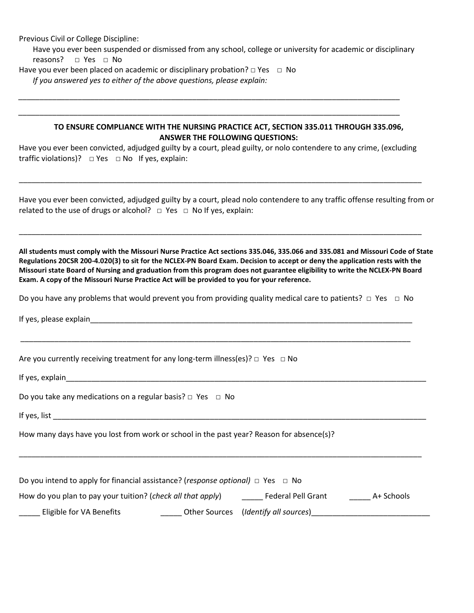Previous Civil or College Discipline:

Have you ever been suspended or dismissed from any school, college or university for academic or disciplinary reasons? **□** Yes **□** No

Have you ever been placed on academic or disciplinary probation? **□** Yes **□** No

*If you answered yes to either of the above questions, please explain:*

#### **TO ENSURE COMPLIANCE WITH THE NURSING PRACTICE ACT, SECTION 335.011 THROUGH 335.096, ANSWER THE FOLLOWING QUESTIONS:**

Have you ever been convicted, adjudged guilty by a court, plead guilty, or nolo contendere to any crime, (excluding traffic violations)?  $\Box$  Yes  $\Box$  No If yes, explain:

\_\_\_\_\_\_\_\_\_\_\_\_\_\_\_\_\_\_\_\_\_\_\_\_\_\_\_\_\_\_\_\_\_\_\_\_\_\_\_\_\_\_\_\_\_\_\_\_\_\_\_\_\_\_\_\_\_\_\_\_\_\_\_\_\_\_\_\_\_\_\_\_\_\_\_\_\_\_\_\_\_\_\_\_\_\_\_\_\_\_\_\_\_\_\_

\_\_\_\_\_\_\_\_\_\_\_\_\_\_\_\_\_\_\_\_\_\_\_\_\_\_\_\_\_\_\_\_\_\_\_\_\_\_\_\_\_\_\_\_\_\_\_\_\_\_\_\_\_\_\_\_\_\_\_\_\_\_\_\_\_\_\_\_\_\_\_\_\_\_\_\_\_\_\_\_\_\_\_\_\_\_\_\_\_\_\_\_\_\_\_

*\_\_\_\_\_\_\_\_\_\_\_\_\_\_\_\_\_\_\_\_\_\_\_\_\_\_\_\_\_\_\_\_\_\_\_\_\_\_\_\_\_\_\_\_\_\_\_\_\_\_\_\_\_\_\_\_\_\_\_\_\_\_\_\_\_\_\_\_\_\_\_\_\_\_\_\_\_\_\_\_\_\_\_\_\_\_\_\_\_\_*

*\_\_\_\_\_\_\_\_\_\_\_\_\_\_\_\_\_\_\_\_\_\_\_\_\_\_\_\_\_\_\_\_\_\_\_\_\_\_\_\_\_\_\_\_\_\_\_\_\_\_\_\_\_\_\_\_\_\_\_\_\_\_\_\_\_\_\_\_\_\_\_\_\_\_\_\_\_\_\_\_\_\_\_\_\_\_\_\_\_\_*

Have you ever been convicted, adjudged guilty by a court, plead nolo contendere to any traffic offense resulting from or related to the use of drugs or alcohol?  $\Box$  Yes  $\Box$  No If yes, explain:

**All students must comply with the Missouri Nurse Practice Act sections 335.046, 335.066 and 335.081 and Missouri Code of State Regulations 20CSR 200-4.020(3) to sit for the NCLEX-PN Board Exam. Decision to accept or deny the application rests with the Missouri state Board of Nursing and graduation from this program does not guarantee eligibility to write the NCLEX-PN Board Exam. A copy of the Missouri Nurse Practice Act will be provided to you for your reference.**

Do you have any problems that would prevent you from providing quality medical care to patients? **□** Yes **□** No

\_\_\_\_\_\_\_\_\_\_\_\_\_\_\_\_\_\_\_\_\_\_\_\_\_\_\_\_\_\_\_\_\_\_\_\_\_\_\_\_\_\_\_\_\_\_\_\_\_\_\_\_\_\_\_\_\_\_\_\_\_\_\_\_\_\_\_\_\_\_\_\_\_\_\_\_\_\_\_\_\_\_\_\_\_\_\_\_\_\_\_\_

If yes, please explain

Are you currently receiving treatment for any long-term illness(es)?  $\Box$  Yes  $\Box$  No

If yes, explain\_\_\_\_\_\_\_\_\_\_\_\_\_\_\_\_\_\_\_\_\_\_\_\_\_\_\_\_\_\_\_\_\_\_\_\_\_\_\_\_\_\_\_\_\_\_\_\_\_\_\_\_\_\_\_\_\_\_\_\_\_\_\_\_\_\_\_\_\_\_\_\_\_\_\_\_\_\_\_\_\_\_\_\_\_

|  |  |  | Do you take any medications on a regular basis? $\Box$ Yes $\Box$ No |  |  |  |  |
|--|--|--|----------------------------------------------------------------------|--|--|--|--|
|--|--|--|----------------------------------------------------------------------|--|--|--|--|

If yes, list  $\overline{a}$ 

How many days have you lost from work or school in the past year? Reason for absence(s)?

| Do you intend to apply for financial assistance? ( <i>response optional</i> ) $\Box$ Yes $\Box$ No |                                      |            |
|----------------------------------------------------------------------------------------------------|--------------------------------------|------------|
| How do you plan to pay your tuition? (check all that apply)                                        | <b>Federal Pell Grant</b>            | A+ Schools |
| Eligible for VA Benefits                                                                           | Other Sources (Identify all sources) |            |

\_\_\_\_\_\_\_\_\_\_\_\_\_\_\_\_\_\_\_\_\_\_\_\_\_\_\_\_\_\_\_\_\_\_\_\_\_\_\_\_\_\_\_\_\_\_\_\_\_\_\_\_\_\_\_\_\_\_\_\_\_\_\_\_\_\_\_\_\_\_\_\_\_\_\_\_\_\_\_\_\_\_\_\_\_\_\_\_\_\_\_\_\_\_\_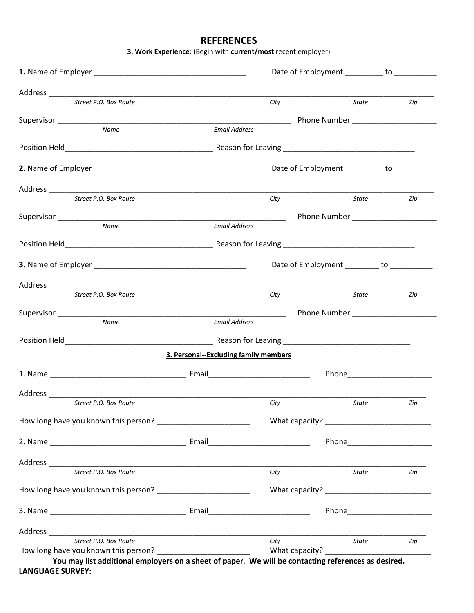## **REFERENCES**

**3. Work Experience:** (Begin with **current/most** recent employer)

|                                                                                                                                                                                                                                |                                       | Date of Employment __________ to __________ |                                                                                                                                                                                                                                     |     |
|--------------------------------------------------------------------------------------------------------------------------------------------------------------------------------------------------------------------------------|---------------------------------------|---------------------------------------------|-------------------------------------------------------------------------------------------------------------------------------------------------------------------------------------------------------------------------------------|-----|
|                                                                                                                                                                                                                                |                                       |                                             |                                                                                                                                                                                                                                     |     |
| Street P.O. Box Route                                                                                                                                                                                                          |                                       | City                                        | State                                                                                                                                                                                                                               | Zip |
|                                                                                                                                                                                                                                |                                       |                                             | Phone Number ______________________                                                                                                                                                                                                 |     |
| Name                                                                                                                                                                                                                           | <b>Email Address</b>                  |                                             |                                                                                                                                                                                                                                     |     |
|                                                                                                                                                                                                                                |                                       |                                             |                                                                                                                                                                                                                                     |     |
|                                                                                                                                                                                                                                |                                       | Date of Employment __________ to __________ |                                                                                                                                                                                                                                     |     |
|                                                                                                                                                                                                                                |                                       |                                             |                                                                                                                                                                                                                                     |     |
| Street P.O. Box Route                                                                                                                                                                                                          |                                       | City                                        | <b>State</b>                                                                                                                                                                                                                        | Zip |
|                                                                                                                                                                                                                                |                                       |                                             |                                                                                                                                                                                                                                     |     |
| <b>Name</b>                                                                                                                                                                                                                    | <b>Email Address</b>                  |                                             |                                                                                                                                                                                                                                     |     |
|                                                                                                                                                                                                                                |                                       |                                             |                                                                                                                                                                                                                                     |     |
|                                                                                                                                                                                                                                |                                       | Date of Employment ________ to __________   |                                                                                                                                                                                                                                     |     |
|                                                                                                                                                                                                                                |                                       |                                             |                                                                                                                                                                                                                                     |     |
| Street P.O. Box Route                                                                                                                                                                                                          |                                       | City                                        | State                                                                                                                                                                                                                               | Zip |
|                                                                                                                                                                                                                                |                                       |                                             |                                                                                                                                                                                                                                     |     |
| Name                                                                                                                                                                                                                           | <b>Email Address</b>                  |                                             |                                                                                                                                                                                                                                     |     |
|                                                                                                                                                                                                                                |                                       |                                             |                                                                                                                                                                                                                                     |     |
|                                                                                                                                                                                                                                | 3. Personal--Excluding family members |                                             |                                                                                                                                                                                                                                     |     |
| 1. Name Email Email Email Communication of the Communication of the Communication of the Communication of the Communication of the Communication of the Communication of the Communication of the Communication of the Communi |                                       |                                             |                                                                                                                                                                                                                                     |     |
|                                                                                                                                                                                                                                |                                       |                                             |                                                                                                                                                                                                                                     |     |
| Street P.O. Box Route                                                                                                                                                                                                          |                                       | City                                        | <i>State</i> and the state of the state of the state of the state of the state of the state of the state of the state of the state of the state of the state of the state of the state of the state of the state of the state of th | Zip |
| How long have you known this person? _________________________                                                                                                                                                                 |                                       |                                             |                                                                                                                                                                                                                                     |     |
|                                                                                                                                                                                                                                |                                       |                                             |                                                                                                                                                                                                                                     |     |
|                                                                                                                                                                                                                                |                                       |                                             |                                                                                                                                                                                                                                     |     |
| Street P.O. Box Route                                                                                                                                                                                                          |                                       | City                                        | <b>State</b>                                                                                                                                                                                                                        | Zip |
|                                                                                                                                                                                                                                |                                       |                                             |                                                                                                                                                                                                                                     |     |
|                                                                                                                                                                                                                                |                                       |                                             |                                                                                                                                                                                                                                     |     |
|                                                                                                                                                                                                                                |                                       |                                             |                                                                                                                                                                                                                                     |     |
| Street P.O. Box Route                                                                                                                                                                                                          |                                       | City                                        | State                                                                                                                                                                                                                               | Zip |
|                                                                                                                                                                                                                                |                                       |                                             |                                                                                                                                                                                                                                     |     |

**LANGUAGE SURVEY:**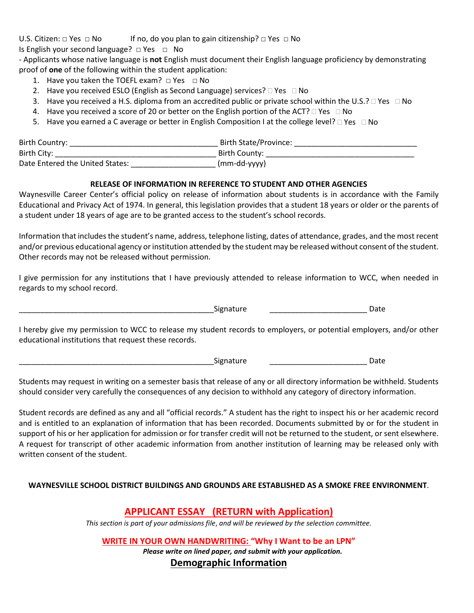U.S. Citizen:  $\Box$  Yes  $\Box$  No If no, do you plan to gain citizenship?  $\Box$  Yes  $\Box$  No

Is English your second language?□ Yes □ No

- Applicants whose native language is **not** English must document their English language proficiency by demonstrating proof of **one** of the following within the student application:

- 1. Have you taken the TOEFL exam?  $\Box$  Yes  $\Box$  No
- 2. Have you received ESLO (English as Second Language) services?  $\Box$  Yes  $\Box$  No
- 3. Have you received a H.S. diploma from an accredited public or private school within the U.S.?  $\Box$  Yes  $\Box$  No
- 4. Have you received a score of 20 or better on the English portion of the ACT?  $\Box$  Yes  $\Box$  No
- 5. Have you earned a C average or better in English Composition I at the college level?  $\Box$  Yes  $\Box$  No

| Birth Country:                  | Birth State/Province: |
|---------------------------------|-----------------------|
| Birth City:                     | Birth County:         |
| Date Entered the United States: | $(mm-dd-yyy)$         |

#### **RELEASE OF INFORMATION IN REFERENCE TO STUDENT AND OTHER AGENCIES**

Waynesville Career Center's official policy on release of information about students is in accordance with the Family Educational and Privacy Act of 1974. In general, this legislation provides that a student 18 years or older or the parents of a student under 18 years of age are to be granted access to the student's school records.

Information that includes the student's name, address, telephone listing, dates of attendance, grades, and the most recent and/or previous educational agency or institution attended by the student may be released without consent of the student. Other records may not be released without permission.

I give permission for any institutions that I have previously attended to release information to WCC, when needed in regards to my school record.

Signature Date

I hereby give my permission to WCC to release my student records to employers, or potential employers, and/or other educational institutions that request these records.

\_\_\_\_\_\_\_\_\_\_\_\_\_\_\_\_\_\_\_\_\_\_\_\_\_\_\_\_\_\_\_\_\_\_\_\_\_\_\_\_\_\_\_\_\_\_Signature \_\_\_\_\_\_\_\_\_\_\_\_\_\_\_\_\_\_\_\_\_\_\_ Date

Students may request in writing on a semester basis that release of any or all directory information be withheld. Students should consider very carefully the consequences of any decision to withhold any category of directory information.

Student records are defined as any and all "official records." A student has the right to inspect his or her academic record and is entitled to an explanation of information that has been recorded. Documents submitted by or for the student in support of his or her application for admission or for transfer credit will not be returned to the student, or sent elsewhere. A request for transcript of other academic information from another institution of learning may be released only with written consent of the student.

### **WAYNESVILLE SCHOOL DISTRICT BUILDINGS AND GROUNDS ARE ESTABLISHED AS A SMOKE FREE ENVIRONMENT**.

## **APPLICANT ESSAY (RETURN with Application)**

*This section is part of your admissions file*, *and will be reviewed by the selection committee.*

**WRITE IN YOUR OWN HANDWRITING: "Why I Want to be an LPN"**

*Please write on lined paper, and submit with your application.*

**Demographic Information**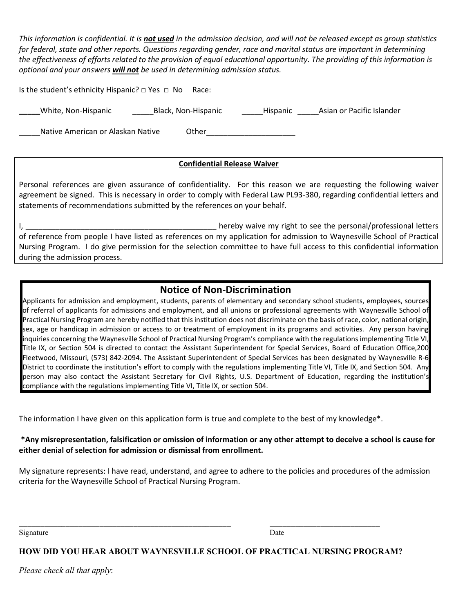*This information is confidential. It is not used in the admission decision, and will not be released except as group statistics for federal, state and other reports. Questions regarding gender, race and marital status are important in determining the effectiveness of efforts related to the provision of equal educational opportunity. The providing of this information is optional and your answers will not be used in determining admission status.*

Is the student's ethnicity Hispanic? □ Yes □ No Race:

**\_\_\_\_\_**White, Non-Hispanic \_\_\_\_\_Black, Non-Hispanic \_\_\_\_\_Hispanic \_\_\_\_\_Asian or Pacific Islander

\_\_\_Native American or Alaskan Native **Cameran Company Conter** 

### **Confidential Release Waiver**

Personal references are given assurance of confidentiality. For this reason we are requesting the following waiver agreement be signed. This is necessary in order to comply with Federal Law PL93-380, regarding confidential letters and statements of recommendations submitted by the references on your behalf.

I, the contract of the contract of the contract of the personal intervals of the personal intervals of the personal letters in the contract of the contract of the contract of the contract of the contract of the contract of of reference from people I have listed as references on my application for admission to Waynesville School of Practical Nursing Program. I do give permission for the selection committee to have full access to this confidential information during the admission process.

## **Notice of Non-Discrimination**

Applicants for admission and employment, students, parents of elementary and secondary school students, employees, sources of referral of applicants for admissions and employment, and all unions or professional agreements with Waynesville School of Practical Nursing Program are hereby notified that this institution does not discriminate on the basis of race, color, national origin, sex, age or handicap in admission or access to or treatment of employment in its programs and activities. Any person having inquiries concerning the Waynesville School of Practical Nursing Program's compliance with the regulations implementing Title VI, Title IX, or Section 504 is directed to contact the Assistant Superintendent for Special Services, Board of Education Office,200 Fleetwood, Missouri, (573) 842-2094. The Assistant Superintendent of Special Services has been designated by Waynesville R-6 District to coordinate the institution's effort to comply with the regulations implementing Title VI, Title IX, and Section 504. Any person may also contact the Assistant Secretary for Civil Rights, U.S. Department of Education, regarding the institution's compliance with the regulations implementing Title VI, Title IX, or section 504.

The information I have given on this application form is true and complete to the best of my knowledge\*.

### **\*Any misrepresentation, falsification or omission of information or any other attempt to deceive a school is cause for either denial of selection for admission or dismissal from enrollment.**

My signature represents: I have read, understand, and agree to adhere to the policies and procedures of the admission criteria for the Waynesville School of Practical Nursing Program.

Signature Date

\_\_\_\_\_\_\_\_\_\_\_\_\_\_\_\_\_\_\_\_\_\_\_\_\_\_\_\_\_\_\_\_\_\_\_\_\_\_\_\_\_\_\_\_\_\_\_\_\_\_ \_\_\_\_\_\_\_\_\_\_\_\_\_\_\_\_\_\_\_\_\_\_\_\_\_\_

### **HOW DID YOU HEAR ABOUT WAYNESVILLE SCHOOL OF PRACTICAL NURSING PROGRAM?**

*Please check all that apply*: